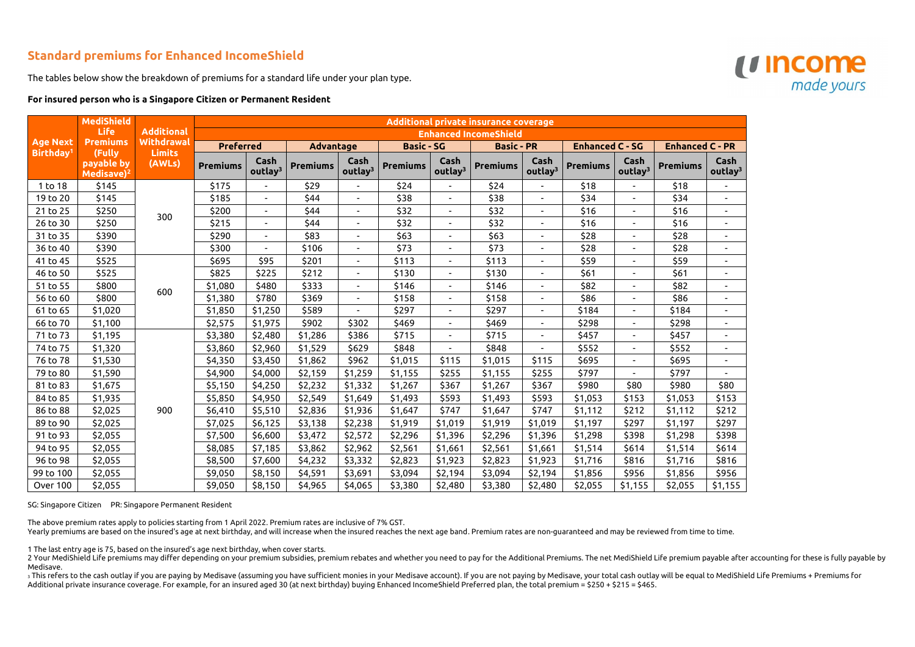## **Standard premiums for Enhanced IncomeShield**

The tables below show the breakdown of premiums for a standard life under your plan type.

## **For insured person who is a Singapore Citizen or Permanent Resident**

|                                          | <b>MediShield</b><br><b>Life</b><br><b>Premiums</b><br>(Fully<br>payable by<br>Medisave) <sup>2</sup> | <b>Additional</b><br><b>Withdrawal</b><br><b>Limits</b><br>(AWLs) | <b>Additional private insurance coverage</b> |                             |                  |                             |                   |                             |                   |                             |                        |                             |                        |                             |
|------------------------------------------|-------------------------------------------------------------------------------------------------------|-------------------------------------------------------------------|----------------------------------------------|-----------------------------|------------------|-----------------------------|-------------------|-----------------------------|-------------------|-----------------------------|------------------------|-----------------------------|------------------------|-----------------------------|
|                                          |                                                                                                       |                                                                   | <b>Enhanced IncomeShield</b>                 |                             |                  |                             |                   |                             |                   |                             |                        |                             |                        |                             |
| <b>Age Next</b><br>Birthday <sup>1</sup> |                                                                                                       |                                                                   | <b>Preferred</b>                             |                             | <b>Advantage</b> |                             | <b>Basic - SG</b> |                             | <b>Basic - PR</b> |                             | <b>Enhanced C - SG</b> |                             | <b>Enhanced C - PR</b> |                             |
|                                          |                                                                                                       |                                                                   | <b>Premiums</b>                              | Cash<br>outlay <sup>3</sup> | <b>Premiums</b>  | Cash<br>outlay <sup>3</sup> | <b>Premiums</b>   | Cash<br>outlay <sup>3</sup> | <b>Premiums</b>   | Cash<br>outlay <sup>3</sup> | <b>Premiums</b>        | Cash<br>outlay <sup>3</sup> | <b>Premiums</b>        | Cash<br>outlay <sup>3</sup> |
| 1 to 18                                  | \$145                                                                                                 | 300                                                               | \$175                                        |                             | \$29             |                             | \$24              |                             | \$24              |                             | \$18                   |                             | \$18                   |                             |
| 19 to 20                                 | \$145                                                                                                 |                                                                   | \$185                                        |                             | \$44             | $\blacksquare$              | \$38              | $\overline{\phantom{0}}$    | \$38              | $\blacksquare$              | \$34                   |                             | \$34                   |                             |
| 21 to 25                                 | \$250                                                                                                 |                                                                   | \$200                                        | $\sim$                      | \$44             | $\overline{\phantom{a}}$    | \$32              | $\overline{\phantom{a}}$    | \$32              | $\blacksquare$              | \$16                   | $\overline{\phantom{a}}$    | \$16                   |                             |
| 26 to 30                                 | \$250                                                                                                 |                                                                   | \$215                                        |                             | \$44             | $\blacksquare$              | \$32              |                             | \$32              |                             | \$16                   |                             | \$16                   |                             |
| 31 to 35                                 | \$390                                                                                                 |                                                                   | \$290                                        |                             | \$83             | $\blacksquare$              | \$63              |                             | \$63              |                             | \$28                   |                             | \$28                   |                             |
| 36 to 40                                 | \$390                                                                                                 |                                                                   | \$300                                        |                             | \$106            | $\blacksquare$              | \$73              | $\overline{\phantom{0}}$    | \$73              | $\blacksquare$              | \$28                   |                             | \$28                   |                             |
| 41 to 45                                 | \$525                                                                                                 |                                                                   | \$695                                        | \$95                        | \$201            | $\blacksquare$              | \$113             |                             | \$113             |                             | \$59                   |                             | \$59                   |                             |
| 46 to 50                                 | \$525                                                                                                 | 600                                                               | \$825                                        | \$225                       | \$212            | $\overline{\phantom{a}}$    | \$130             | Ξ.                          | \$130             |                             | \$61                   |                             | \$61                   |                             |
| 51 to 55                                 | \$800                                                                                                 |                                                                   | \$1,080                                      | \$480                       | \$333            |                             | \$146             |                             | \$146             |                             | \$82                   |                             | \$82                   |                             |
| 56 to 60                                 | \$800                                                                                                 |                                                                   | \$1,380                                      | \$780                       | \$369            | $\blacksquare$              | \$158             | $\overline{\phantom{0}}$    | \$158             | $\overline{a}$              | \$86                   | $\overline{\phantom{a}}$    | \$86                   |                             |
| 61 to 65                                 | \$1,020                                                                                               |                                                                   | \$1,850                                      | \$1,250                     | \$589            |                             | \$297             |                             | \$297             |                             | \$184                  |                             | \$184                  |                             |
| 66 to 70                                 | \$1,100                                                                                               |                                                                   | \$2,575                                      | \$1,975                     | \$902            | \$302                       | \$469             | $\blacksquare$              | \$469             |                             | \$298                  |                             | \$298                  |                             |
| 71 to 73                                 | \$1,195                                                                                               |                                                                   | \$3,380                                      | \$2,480                     | \$1,286          | \$386                       | \$715             |                             | \$715             |                             | \$457                  |                             | \$457                  |                             |
| 74 to 75                                 | \$1,320                                                                                               |                                                                   | \$3,860                                      | \$2,960                     | \$1,529          | \$629                       | \$848             | $\overline{\phantom{0}}$    | \$848             |                             | \$552                  | $\overline{\phantom{a}}$    | \$552                  |                             |
| 76 to 78                                 | \$1,530                                                                                               |                                                                   | \$4,350                                      | \$3,450                     | \$1,862          | \$962                       | \$1,015           | \$115                       | \$1,015           | \$115                       | \$695                  |                             | \$695                  |                             |
| 79 to 80                                 | \$1,590                                                                                               |                                                                   | \$4,900                                      | \$4,000                     | \$2,159          | \$1,259                     | \$1,155           | \$255                       | \$1,155           | \$255                       | \$797                  |                             | \$797                  |                             |
| 81 to 83                                 | \$1,675                                                                                               | 900                                                               | \$5,150                                      | \$4,250                     | \$2,232          | \$1,332                     | \$1,267           | \$367                       | \$1,267           | \$367                       | \$980                  | \$80                        | \$980                  | \$80                        |
| 84 to 85                                 | \$1,935                                                                                               |                                                                   | \$5,850                                      | \$4,950                     | \$2,549          | \$1,649                     | \$1,493           | \$593                       | \$1,493           | \$593                       | \$1,053                | \$153                       | \$1,053                | \$153                       |
| 86 to 88                                 | \$2,025                                                                                               |                                                                   | \$6,410                                      | \$5,510                     | \$2,836          | \$1,936                     | \$1,647           | \$747                       | \$1,647           | \$747                       | \$1,112                | \$212                       | \$1,112                | \$212                       |
| 89 to 90                                 | \$2,025                                                                                               |                                                                   | \$7,025                                      | \$6,125                     | \$3,138          | \$2,238                     | \$1,919           | \$1,019                     | \$1,919           | \$1,019                     | \$1,197                | \$297                       | \$1,197                | \$297                       |
| 91 to 93                                 | \$2,055                                                                                               |                                                                   | \$7,500                                      | \$6,600                     | \$3,472          | \$2,572                     | \$2,296           | \$1,396                     | \$2,296           | \$1,396                     | \$1,298                | \$398                       | \$1,298                | \$398                       |
| 94 to 95                                 | \$2,055                                                                                               |                                                                   | \$8,085                                      | \$7,185                     | \$3,862          | \$2,962                     | \$2,561           | \$1,661                     | \$2,561           | \$1,661                     | \$1,514                | \$614                       | \$1,514                | \$614                       |
| 96 to 98                                 | \$2,055                                                                                               |                                                                   | \$8,500                                      | \$7,600                     | \$4,232          | \$3,332                     | \$2,823           | \$1,923                     | \$2,823           | \$1,923                     | \$1,716                | \$816                       | \$1,716                | \$816                       |
| 99 to 100                                | \$2,055                                                                                               |                                                                   | \$9,050                                      | \$8,150                     | \$4,591          | \$3,691                     | \$3,094           | \$2,194                     | \$3,094           | \$2,194                     | \$1,856                | \$956                       | \$1,856                | \$956                       |
| Over 100                                 | \$2,055                                                                                               |                                                                   | \$9,050                                      | \$8,150                     | \$4,965          | \$4,065                     | \$3,380           | \$2,480                     | \$3,380           | \$2,480                     | \$2,055                | \$1,155                     | \$2,055                | \$1,155                     |

2 Your MediShield Life premiums may differ depending on your premium subsidies, premium rebates and whether you need to pay for the Additional Premiums. The net MediShield Life premium payable after accounting for these is Medisave.

3 This refers to the cash outlay if you are paying by Medisave (assuming you have sufficient monies in your Medisave account). If you are not paying by Medisave, your total cash outlay will be equal to MediShield Life Prem Additional private insurance coverage. For example, for an insured aged 30 (at next birthday) buying Enhanced IncomeShield Preferred plan, the total premium = \$250 + \$215 = \$465.



SG: Singapore Citizen PR: Singapore Permanent Resident

The above premium rates apply to policies starting from 1 April 2022. Premium rates are inclusive of 7% GST.

Yearly premiums are based on the insured's age at next birthday, and will increase when the insured reaches the next age band. Premium rates are non-guaranteed and may be reviewed from time to time.

1 The last entry age is 75, based on the insured's age next birthday, when cover starts.